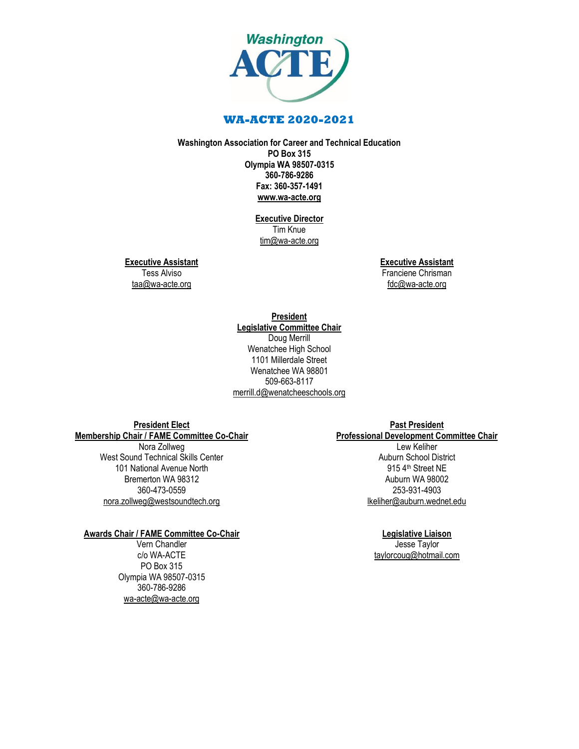

# **WA-ACTE 2020-2021**

**Washington Association for Career and Technical Education PO Box 315 Olympia WA 98507-0315 360-786-9286 Fax: 360-357-1491 [www.wa-acte.org](http://www.wa-acte.org/)**

> **Executive Director** Tim Knue [tim@wa-acte.org](mailto:tim@wa-acte.org)

**Executive Assistant**

Tess Alviso [taa@wa-acte.org](mailto:taa@wa-acte.org) **Executive Assistant** Franciene Chrisman

[fdc@wa-acte.org](mailto:fdc@wa-acte.org)

**President Legislative Committee Chair** Doug Merrill Wenatchee High School 1101 Millerdale Street Wenatchee WA 98801 509-663-8117 [merrill.d@wenatcheeschools.org](mailto:merrill.d@wenatcheeschools.org)

**President Elect Membership Chair / FAME Committee Co-Chair**

Nora Zollweg West Sound Technical Skills Center 101 National Avenue North Bremerton WA 98312 360-473-0559 [nora.zollweg@westsoundtech.org](mailto:nora.zollweg@westsoundtech.org)

### **Awards Chair / FAME Committee Co-Chair**

Vern Chandler c/o WA-ACTE PO Box 315 Olympia WA 98507-0315 360-786-9286 [wa-acte@wa-acte.org](mailto:wa-acte@wa-acte.org)

### **Past President**

**Professional Development Committee Chair** Lew Keliher Auburn School District 915 4th Street NE Auburn WA 98002 253-931-4903 [lkeliher@auburn.wednet.edu](mailto:lkeliher@auburn.wednet.edu)

### **Legislative Liaison**

Jesse Taylor [taylorcoug@hotmail.com](mailto:taylorcoug@hotmail.com)